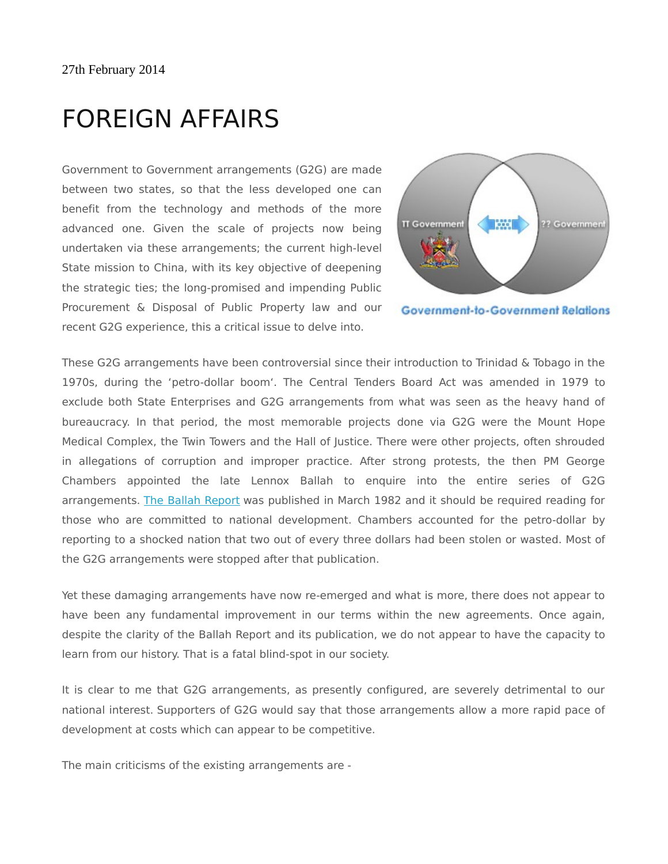## FOREIGN AFFAIRS

Government to Government arrangements (G2G) are made between two states, so that the less developed one can benefit from the technology and methods of the more advanced one. Given the scale of projects now being undertaken via these arrangements; the current high-level State mission to China, with its key objective of deepening the strategic ties; the long-promised and impending Public Procurement & Disposal of Public Property law and our recent G2G experience, this a critical issue to delve into.





These G2G arrangements have been controversial since their introduction to Trinidad & Tobago in the 1970s, during the 'petro-dollar boom'. The Central Tenders Board Act was amended in 1979 to exclude both State Enterprises and G2G arrangements from what was seen as the heavy hand of bureaucracy. In that period, the most memorable projects done via G2G were the Mount Hope Medical Complex, the Twin Towers and the Hall of Justice. There were other projects, often shrouded in allegations of corruption and improper practice. After strong protests, the then PM George Chambers appointed the late Lennox Ballah to enquire into the entire series of G2G arrangements. [The Ballah Report](http://www.jcc.org.tt/G2G/Ballahreport.pdf) was published in March 1982 and it should be required reading for those who are committed to national development. Chambers accounted for the petro-dollar by reporting to a shocked nation that two out of every three dollars had been stolen or wasted. Most of the G2G arrangements were stopped after that publication.

Yet these damaging arrangements have now re-emerged and what is more, there does not appear to have been any fundamental improvement in our terms within the new agreements. Once again, despite the clarity of the Ballah Report and its publication, we do not appear to have the capacity to learn from our history. That is a fatal blind-spot in our society.

It is clear to me that G2G arrangements, as presently configured, are severely detrimental to our national interest. Supporters of G2G would say that those arrangements allow a more rapid pace of development at costs which can appear to be competitive.

The main criticisms of the existing arrangements are -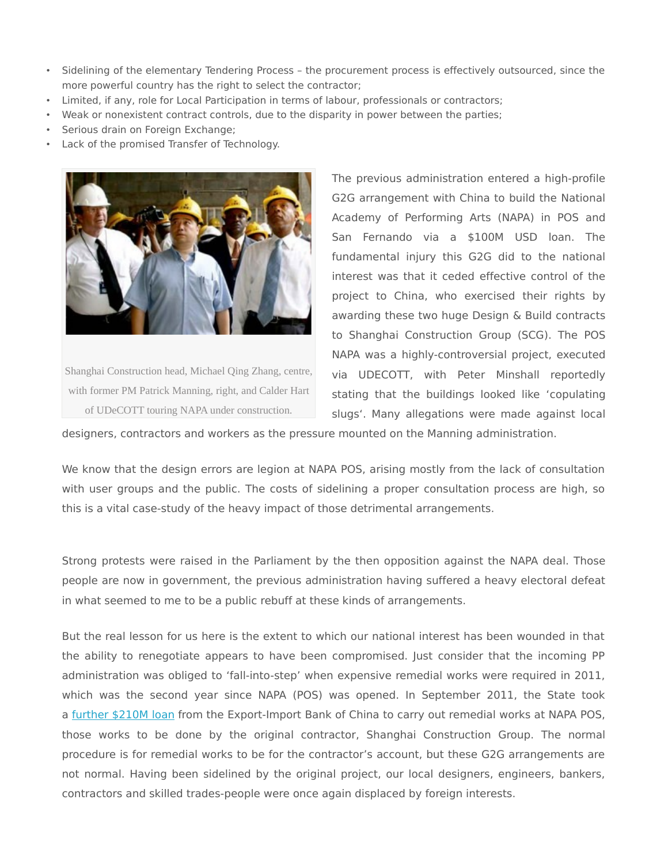- Sidelining of the elementary Tendering Process the procurement process is effectively outsourced, since the more powerful country has the right to select the contractor;
- Limited, if any, role for Local Participation in terms of labour, professionals or contractors;
- Weak or nonexistent contract controls, due to the disparity in power between the parties;
- Serious drain on Foreign Exchange;
- Lack of the promised Transfer of Technology.



Shanghai Construction head, Michael Qing Zhang, centre, with former PM Patrick Manning, right, and Calder Hart of UDeCOTT touring NAPA under construction.

The previous administration entered a high-profile G2G arrangement with China to build the National Academy of Performing Arts (NAPA) in POS and San Fernando via a \$100M USD loan. The fundamental injury this G2G did to the national interest was that it ceded effective control of the project to China, who exercised their rights by awarding these two huge Design & Build contracts to Shanghai Construction Group (SCG). The POS NAPA was a highly-controversial project, executed via UDECOTT, with Peter Minshall reportedly stating that the buildings looked like 'copulating slugs'. Many allegations were made against local

designers, contractors and workers as the pressure mounted on the Manning administration.

We know that the design errors are legion at NAPA POS, arising mostly from the lack of consultation with user groups and the public. The costs of sidelining a proper consultation process are high, so this is a vital case-study of the heavy impact of those detrimental arrangements.

Strong protests were raised in the Parliament by the then opposition against the NAPA deal. Those people are now in government, the previous administration having suffered a heavy electoral defeat in what seemed to me to be a public rebuff at these kinds of arrangements.

But the real lesson for us here is the extent to which our national interest has been wounded in that the ability to renegotiate appears to have been compromised. Just consider that the incoming PP administration was obliged to 'fall-into-step' when expensive remedial works were required in 2011, which was the second year since NAPA (POS) was opened. In September 2011, the State took a [further \\$210M loan](http://www.newsday.co.tt/politics/0,147151.html) from the Export-Import Bank of China to carry out remedial works at NAPA POS, those works to be done by the original contractor, Shanghai Construction Group. The normal procedure is for remedial works to be for the contractor's account, but these G2G arrangements are not normal. Having been sidelined by the original project, our local designers, engineers, bankers, contractors and skilled trades-people were once again displaced by foreign interests.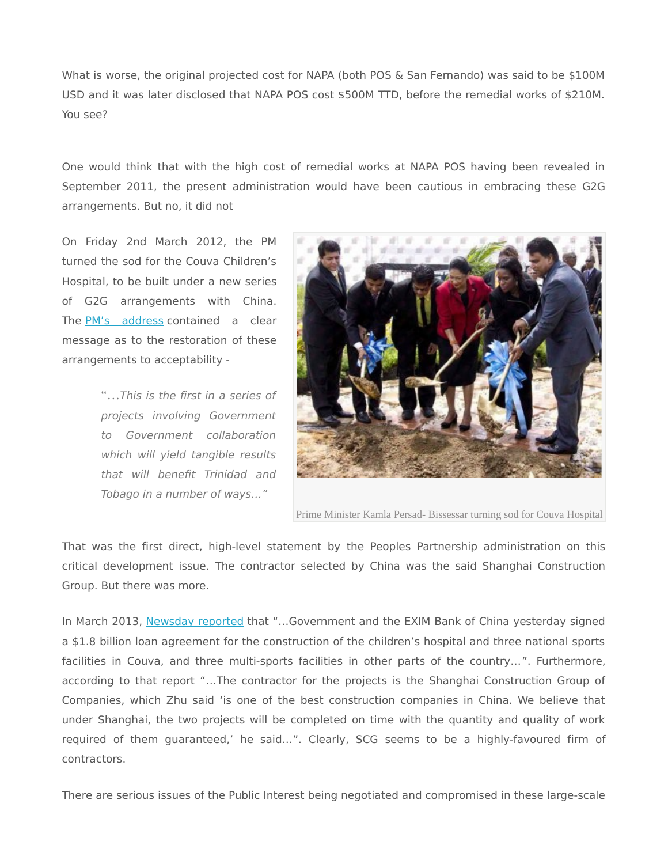What is worse, the original projected cost for NAPA (both POS & San Fernando) was said to be \$100M USD and it was later disclosed that NAPA POS cost \$500M TTD, before the remedial works of \$210M. You see?

One would think that with the high cost of remedial works at NAPA POS having been revealed in September 2011, the present administration would have been cautious in embracing these G2G arrangements. But no, it did not

On Friday 2nd March 2012, the PM turned the sod for the Couva Children's Hospital, to be built under a new series of G2G arrangements with China. The [PM's address](http://www.opm.gov.tt/speeches.php?mid=3&eid=151) contained a clear message as to the restoration of these arrangements to acceptability -

> "…This is the first in a series of projects involving Government to Government collaboration which will yield tangible results that will benefit Trinidad and Tobago in a number of ways…"



Prime Minister Kamla Persad- Bissessar turning sod for Couva Hospital

That was the first direct, high-level statement by the Peoples Partnership administration on this critical development issue. The contractor selected by China was the said Shanghai Construction Group. But there was more.

In March 2013, [Newsday reported](http://www.newsday.co.tt/news/0,174909.html) that "...Government and the EXIM Bank of China yesterday signed a \$1.8 billion loan agreement for the construction of the children's hospital and three national sports facilities in Couva, and three multi-sports facilities in other parts of the country...". Furthermore, according to that report "…The contractor for the projects is the Shanghai Construction Group of Companies, which Zhu said 'is one of the best construction companies in China. We believe that under Shanghai, the two projects will be completed on time with the quantity and quality of work required of them guaranteed,' he said…". Clearly, SCG seems to be a highly-favoured firm of contractors.

There are serious issues of the Public Interest being negotiated and compromised in these large-scale